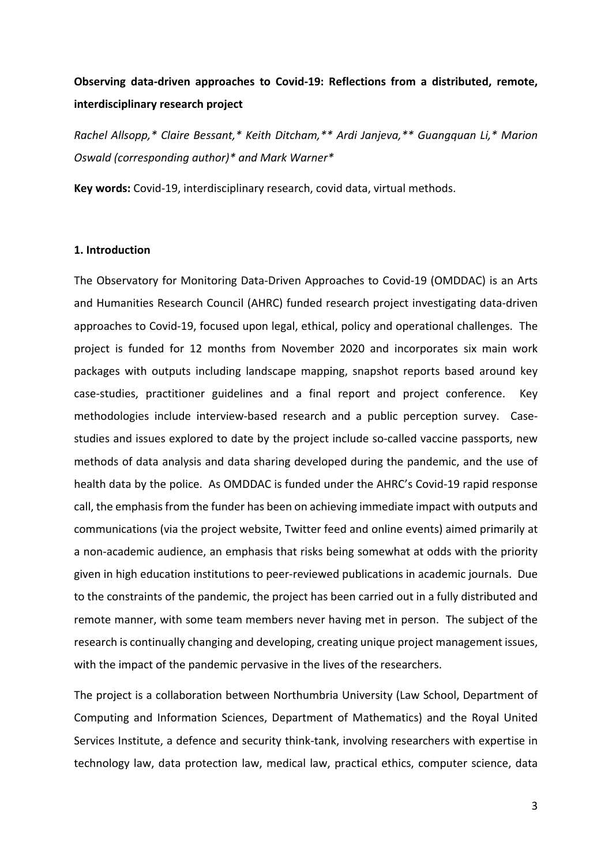# **Observing data-driven approaches to Covid-19: Reflections from a distributed, remote, interdisciplinary research project**

*Rachel Allsopp,\* Claire Bessant,\* Keith Ditcham,\*\* Ardi Janjeva,\*\* Guangquan Li,\* Marion Oswald (corresponding author)\* and Mark Warner\**

**Key words:** Covid-19, interdisciplinary research, covid data, virtual methods.

#### **1. Introduction**

The Observatory for Monitoring Data-Driven Approaches to Covid-19 (OMDDAC) is an Arts and Humanities Research Council (AHRC) funded research project investigating data-driven approaches to Covid-19, focused upon legal, ethical, policy and operational challenges. The project is funded for 12 months from November 2020 and incorporates six main work packages with outputs including landscape mapping, snapshot reports based around key case-studies, practitioner guidelines and a final report and project conference. Key methodologies include interview-based research and a public perception survey. Casestudies and issues explored to date by the project include so-called vaccine passports, new methods of data analysis and data sharing developed during the pandemic, and the use of health data by the police. As OMDDAC is funded under the AHRC's Covid-19 rapid response call, the emphasis from the funder has been on achieving immediate impact with outputs and communications (via the project website, Twitter feed and online events) aimed primarily at a non-academic audience, an emphasis that risks being somewhat at odds with the priority given in high education institutions to peer-reviewed publications in academic journals. Due to the constraints of the pandemic, the project has been carried out in a fully distributed and remote manner, with some team members never having met in person. The subject of the research is continually changing and developing, creating unique project management issues, with the impact of the pandemic pervasive in the lives of the researchers.

The project is a collaboration between Northumbria University (Law School, Department of Computing and Information Sciences, Department of Mathematics) and the Royal United Services Institute, a defence and security think-tank, involving researchers with expertise in technology law, data protection law, medical law, practical ethics, computer science, data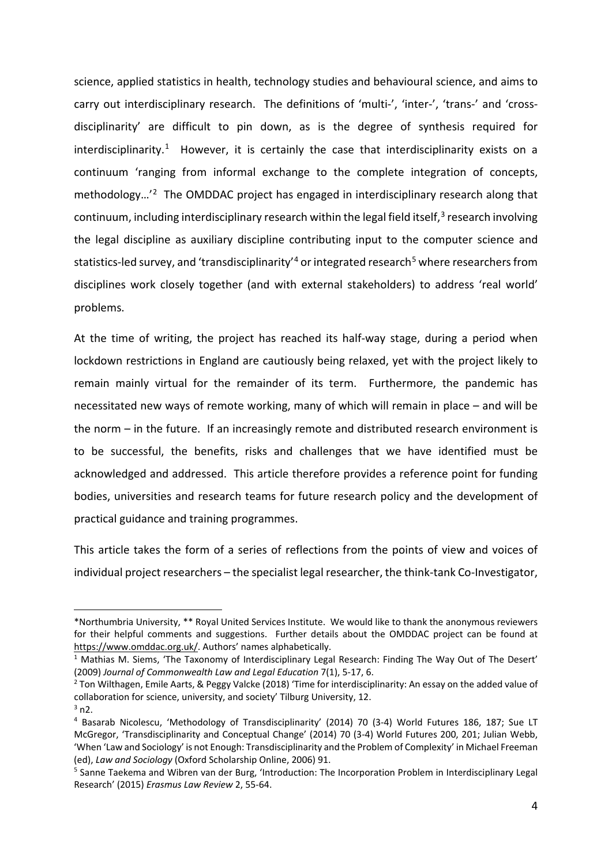science, applied statistics in health, technology studies and behavioural science, and aims to carry out interdisciplinary research. The definitions of 'multi-', 'inter-', 'trans-' and 'crossdisciplinarity' are difficult to pin down, as is the degree of synthesis required for interdisciplinarity.<sup>[1](#page-1-0)</sup> However, it is certainly the case that interdisciplinarity exists on a continuum 'ranging from informal exchange to the complete integration of concepts, methodology…'[2](#page-1-1) The OMDDAC project has engaged in interdisciplinary research along that continuum, including interdisciplinary research within the legal field itself,<sup>[3](#page-1-2)</sup> research involving the legal discipline as auxiliary discipline contributing input to the computer science and statistics-led survey, and 'transdisciplinarity'<sup>[4](#page-1-3)</sup> or integrated research<sup>[5](#page-1-4)</sup> where researchers from disciplines work closely together (and with external stakeholders) to address 'real world' problems.

At the time of writing, the project has reached its half-way stage, during a period when lockdown restrictions in England are cautiously being relaxed, yet with the project likely to remain mainly virtual for the remainder of its term. Furthermore, the pandemic has necessitated new ways of remote working, many of which will remain in place – and will be the norm – in the future. If an increasingly remote and distributed research environment is to be successful, the benefits, risks and challenges that we have identified must be acknowledged and addressed. This article therefore provides a reference point for funding bodies, universities and research teams for future research policy and the development of practical guidance and training programmes.

This article takes the form of a series of reflections from the points of view and voices of individual project researchers – the specialist legal researcher, the think-tank Co-Investigator,

<span id="page-1-0"></span><sup>\*</sup>Northumbria University, \*\* Royal United Services Institute. We would like to thank the anonymous reviewers for their helpful comments and suggestions. Further details about the OMDDAC project can be found at [https://www.omddac.org.uk/.](https://www.omddac.org.uk/) Authors' names alphabetically.

<sup>&</sup>lt;sup>1</sup> Mathias M. Siems, 'The Taxonomy of Interdisciplinary Legal Research: Finding The Way Out of The Desert' (2009) *Journal of Commonwealth Law and Legal Education* 7(1), 5-17, 6.<br><sup>2</sup> Ton Wilthagen, Emile Aarts, & Peggy Valcke (2018) 'Time for interdisciplinarity: An essay on the added value of

<span id="page-1-1"></span>collaboration for science, university, and society' Tilburg University, 12.

<span id="page-1-3"></span><span id="page-1-2"></span> $3$  n2.

<sup>4</sup> Basarab Nicolescu, 'Methodology of Transdisciplinarity' (2014) 70 (3-4) World Futures 186, 187; Sue LT McGregor, 'Transdisciplinarity and Conceptual Change' (2014) 70 (3-4) World Futures 200, 201; Julian Webb, 'When 'Law and Sociology' is not Enough: Transdisciplinarity and the Problem of Complexity' in Michael Freeman (ed), *Law and Sociology* (Oxford Scholarship Online, 2006) 91.

<span id="page-1-4"></span><sup>5</sup> Sanne Taekema and Wibren van der Burg, 'Introduction: The Incorporation Problem in Interdisciplinary Legal Research' (2015) *Erasmus Law Review* 2, 55-64.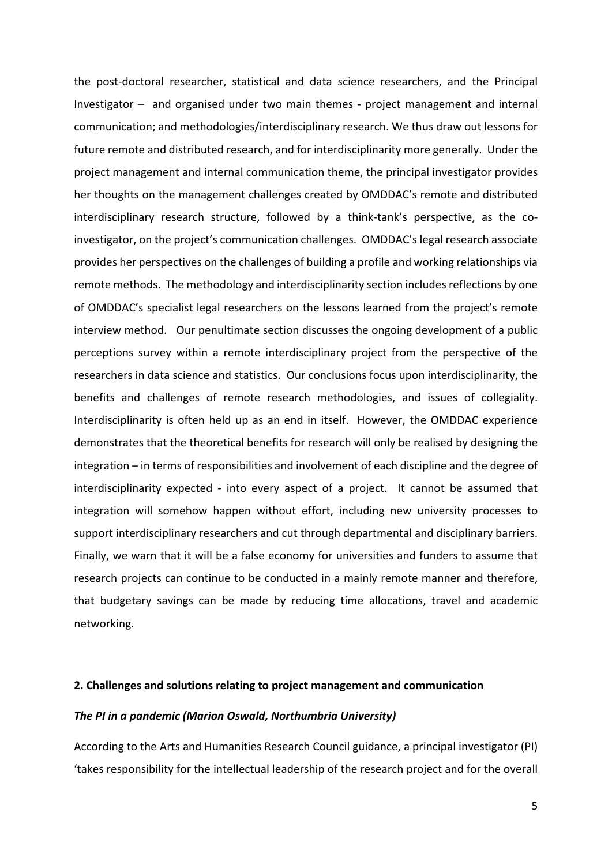the post-doctoral researcher, statistical and data science researchers, and the Principal Investigator – and organised under two main themes - project management and internal communication; and methodologies/interdisciplinary research. We thus draw out lessons for future remote and distributed research, and for interdisciplinarity more generally. Under the project management and internal communication theme, the principal investigator provides her thoughts on the management challenges created by OMDDAC's remote and distributed interdisciplinary research structure, followed by a think-tank's perspective, as the coinvestigator, on the project's communication challenges. OMDDAC's legal research associate provides her perspectives on the challenges of building a profile and working relationships via remote methods. The methodology and interdisciplinarity section includes reflections by one of OMDDAC's specialist legal researchers on the lessons learned from the project's remote interview method. Our penultimate section discusses the ongoing development of a public perceptions survey within a remote interdisciplinary project from the perspective of the researchers in data science and statistics. Our conclusions focus upon interdisciplinarity, the benefits and challenges of remote research methodologies, and issues of collegiality. Interdisciplinarity is often held up as an end in itself. However, the OMDDAC experience demonstrates that the theoretical benefits for research will only be realised by designing the integration – in terms of responsibilities and involvement of each discipline and the degree of interdisciplinarity expected - into every aspect of a project. It cannot be assumed that integration will somehow happen without effort, including new university processes to support interdisciplinary researchers and cut through departmental and disciplinary barriers. Finally, we warn that it will be a false economy for universities and funders to assume that research projects can continue to be conducted in a mainly remote manner and therefore, that budgetary savings can be made by reducing time allocations, travel and academic networking.

#### **2. Challenges and solutions relating to project management and communication**

#### *The PI in a pandemic (Marion Oswald, Northumbria University)*

According to the Arts and Humanities Research Council guidance, a principal investigator (PI) 'takes responsibility for the intellectual leadership of the research project and for the overall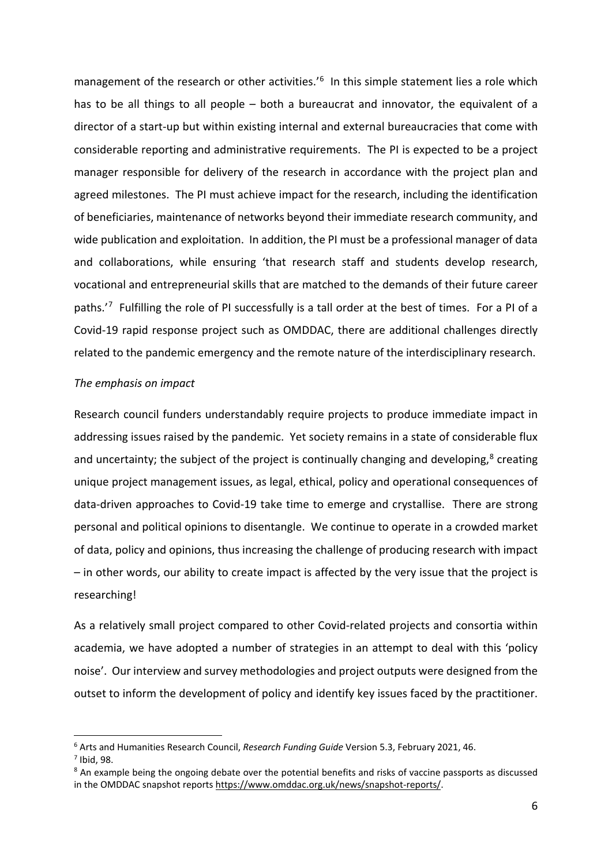management of the research or other activities.' [6](#page-3-0) In this simple statement lies a role which has to be all things to all people – both a bureaucrat and innovator, the equivalent of a director of a start-up but within existing internal and external bureaucracies that come with considerable reporting and administrative requirements. The PI is expected to be a project manager responsible for delivery of the research in accordance with the project plan and agreed milestones. The PI must achieve impact for the research, including the identification of beneficiaries, maintenance of networks beyond their immediate research community, and wide publication and exploitation. In addition, the PI must be a professional manager of data and collaborations, while ensuring 'that research staff and students develop research, vocational and entrepreneurial skills that are matched to the demands of their future career paths.'[7](#page-3-1) Fulfilling the role of PI successfully is a tall order at the best of times. For a PI of a Covid-19 rapid response project such as OMDDAC, there are additional challenges directly related to the pandemic emergency and the remote nature of the interdisciplinary research.

#### *The emphasis on impact*

Research council funders understandably require projects to produce immediate impact in addressing issues raised by the pandemic. Yet society remains in a state of considerable flux and uncertainty; the subject of the project is continually changing and developing,<sup>[8](#page-3-2)</sup> creating unique project management issues, as legal, ethical, policy and operational consequences of data-driven approaches to Covid-19 take time to emerge and crystallise. There are strong personal and political opinions to disentangle. We continue to operate in a crowded market of data, policy and opinions, thus increasing the challenge of producing research with impact – in other words, our ability to create impact is affected by the very issue that the project is researching!

As a relatively small project compared to other Covid-related projects and consortia within academia, we have adopted a number of strategies in an attempt to deal with this 'policy noise'. Our interview and survey methodologies and project outputs were designed from the outset to inform the development of policy and identify key issues faced by the practitioner.

<span id="page-3-0"></span><sup>6</sup> Arts and Humanities Research Council, *Research Funding Guide* Version 5.3, February 2021, 46.

<span id="page-3-2"></span>

<span id="page-3-1"></span> $7$  Ibid, 98.<br> $8$  An example being the ongoing debate over the potential benefits and risks of vaccine passports as discussed in the OMDDAC snapshot reports [https://www.omddac.org.uk/news/snapshot-reports/.](https://www.omddac.org.uk/news/snapshot-reports/)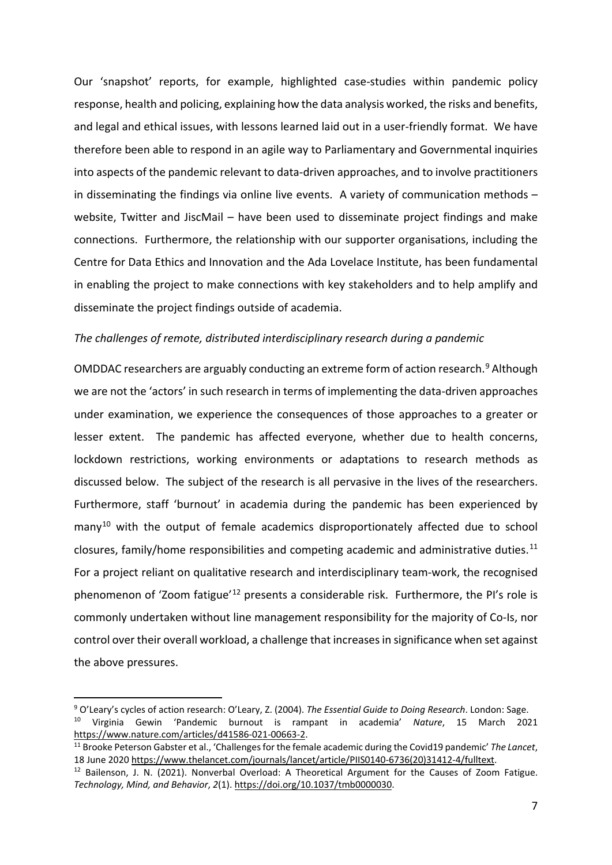Our 'snapshot' reports, for example, highlighted case-studies within pandemic policy response, health and policing, explaining how the data analysis worked, the risks and benefits, and legal and ethical issues, with lessons learned laid out in a user-friendly format. We have therefore been able to respond in an agile way to Parliamentary and Governmental inquiries into aspects of the pandemic relevant to data-driven approaches, and to involve practitioners in disseminating the findings via online live events. A variety of communication methods – website, Twitter and JiscMail – have been used to disseminate project findings and make connections. Furthermore, the relationship with our supporter organisations, including the Centre for Data Ethics and Innovation and the Ada Lovelace Institute, has been fundamental in enabling the project to make connections with key stakeholders and to help amplify and disseminate the project findings outside of academia.

### *The challenges of remote, distributed interdisciplinary research during a pandemic*

OMDDAC researchers are arguably conducting an extreme form of action research.<sup>[9](#page-4-0)</sup> Although we are not the 'actors' in such research in terms of implementing the data-driven approaches under examination, we experience the consequences of those approaches to a greater or lesser extent. The pandemic has affected everyone, whether due to health concerns, lockdown restrictions, working environments or adaptations to research methods as discussed below. The subject of the research is all pervasive in the lives of the researchers. Furthermore, staff 'burnout' in academia during the pandemic has been experienced by  $many<sup>10</sup>$  $many<sup>10</sup>$  $many<sup>10</sup>$  with the output of female academics disproportionately affected due to school closures, family/home responsibilities and competing academic and administrative duties.<sup>[11](#page-4-2)</sup> For a project reliant on qualitative research and interdisciplinary team-work, the recognised phenomenon of 'Zoom fatigue'<sup>[12](#page-4-3)</sup> presents a considerable risk. Furthermore, the PI's role is commonly undertaken without line management responsibility for the majority of Co-Is, nor control over their overall workload, a challenge that increases in significance when set against the above pressures.

<span id="page-4-1"></span><span id="page-4-0"></span><sup>9</sup> O'Leary's cycles of action research: O'Leary, Z. (2004). *The Essential Guide to Doing Research*. London: Sage. <sup>10</sup> Virginia Gewin 'Pandemic burnout is rampant in academia' *Nature*, 15 March 2021 [https://www.nature.com/articles/d41586-021-00663-2.](https://www.nature.com/articles/d41586-021-00663-2)

<span id="page-4-2"></span><sup>11</sup> Brooke Peterson Gabster et al., 'Challenges for the female academic during the Covid19 pandemic' *The Lancet*, 18 June 2020 [https://www.thelancet.com/journals/lancet/article/PIIS0140-6736\(20\)31412-4/fulltext.](https://www.thelancet.com/journals/lancet/article/PIIS0140-6736(20)31412-4/fulltext)

<span id="page-4-3"></span><sup>12</sup> Bailenson, J. N. (2021). Nonverbal Overload: A Theoretical Argument for the Causes of Zoom Fatigue. *Technology, Mind, and Behavior*, *2*(1). [https://doi.org/10.1037/tmb0000030.](https://doi.org/10.1037/tmb0000030)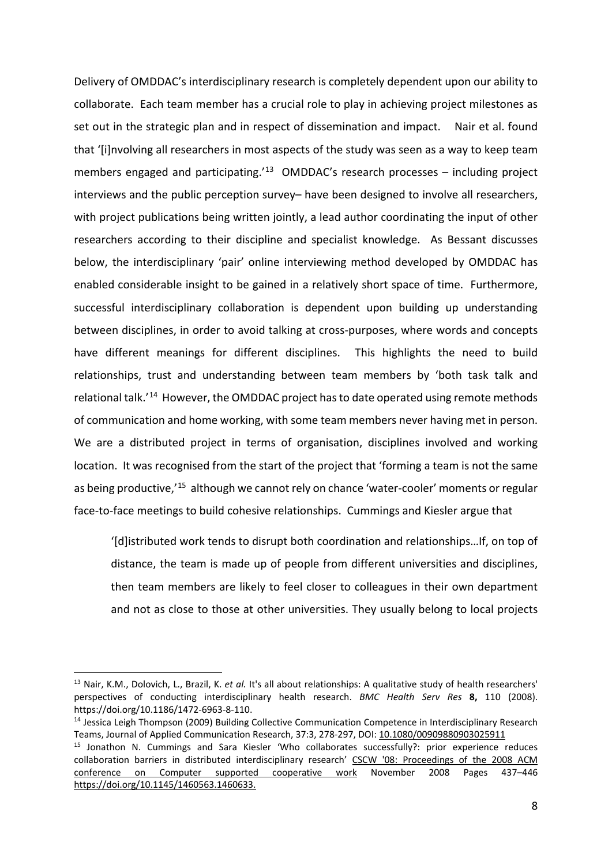Delivery of OMDDAC's interdisciplinary research is completely dependent upon our ability to collaborate. Each team member has a crucial role to play in achieving project milestones as set out in the strategic plan and in respect of dissemination and impact. Nair et al. found that '[i]nvolving all researchers in most aspects of the study was seen as a way to keep team members engaged and participating.<sup>'[13](#page-5-0)</sup> OMDDAC's research processes – including project interviews and the public perception survey– have been designed to involve all researchers, with project publications being written jointly, a lead author coordinating the input of other researchers according to their discipline and specialist knowledge. As Bessant discusses below, the interdisciplinary 'pair' online interviewing method developed by OMDDAC has enabled considerable insight to be gained in a relatively short space of time. Furthermore, successful interdisciplinary collaboration is dependent upon building up understanding between disciplines, in order to avoid talking at cross-purposes, where words and concepts have different meanings for different disciplines. This highlights the need to build relationships, trust and understanding between team members by 'both task talk and relational talk.'[14](#page-5-1) However, the OMDDAC project has to date operated using remote methods of communication and home working, with some team members never having met in person. We are a distributed project in terms of organisation, disciplines involved and working location. It was recognised from the start of the project that 'forming a team is not the same as being productive,<sup>'[15](#page-5-2)</sup> although we cannot rely on chance 'water-cooler' moments or regular face-to-face meetings to build cohesive relationships. Cummings and Kiesler argue that

'[d]istributed work tends to disrupt both coordination and relationships…If, on top of distance, the team is made up of people from different universities and disciplines, then team members are likely to feel closer to colleagues in their own department and not as close to those at other universities. They usually belong to local projects

<span id="page-5-0"></span><sup>13</sup> Nair, K.M., Dolovich, L., Brazil, K. *et al.* It's all about relationships: A qualitative study of health researchers' perspectives of conducting interdisciplinary health research. *BMC Health Serv Res* **8,** 110 (2008). https://doi.org/10.1186/1472-6963-8-110.

<span id="page-5-1"></span><sup>&</sup>lt;sup>14</sup> Jessica Leigh Thompson (2009) Building Collective Communication Competence in Interdisciplinary Research Teams, Journal of Applied Communication Research, 37:3, 278-297, DOI: [10.1080/00909880903025911](https://doi.org/10.1080/00909880903025911)

<span id="page-5-2"></span><sup>&</sup>lt;sup>15</sup> Jonathon N. Cummings and Sara Kiesler 'Who collaborates successfully?: prior experience reduces collaboration barriers in distributed interdisciplinary research' [CSCW '08: Proceedings of the 2008 ACM](https://dl.acm.org/doi/proceedings/10.1145/1460563)  [conference on Computer supported cooperative work](https://dl.acm.org/doi/proceedings/10.1145/1460563) November 2008 Pages 437–446 [https://doi.org/10.1145/1460563.1460633.](https://doi.org/10.1145/1460563.1460633)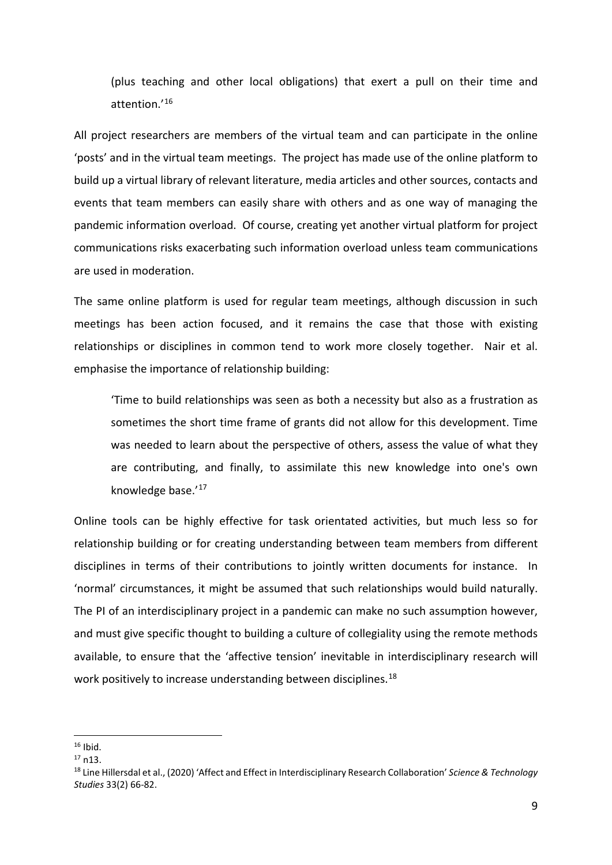(plus teaching and other local obligations) that exert a pull on their time and attention.'[16](#page-6-0)

All project researchers are members of the virtual team and can participate in the online 'posts' and in the virtual team meetings. The project has made use of the online platform to build up a virtual library of relevant literature, media articles and other sources, contacts and events that team members can easily share with others and as one way of managing the pandemic information overload. Of course, creating yet another virtual platform for project communications risks exacerbating such information overload unless team communications are used in moderation.

The same online platform is used for regular team meetings, although discussion in such meetings has been action focused, and it remains the case that those with existing relationships or disciplines in common tend to work more closely together. Nair et al. emphasise the importance of relationship building:

'Time to build relationships was seen as both a necessity but also as a frustration as sometimes the short time frame of grants did not allow for this development. Time was needed to learn about the perspective of others, assess the value of what they are contributing, and finally, to assimilate this new knowledge into one's own knowledge base.'[17](#page-6-1)

Online tools can be highly effective for task orientated activities, but much less so for relationship building or for creating understanding between team members from different disciplines in terms of their contributions to jointly written documents for instance. In 'normal' circumstances, it might be assumed that such relationships would build naturally. The PI of an interdisciplinary project in a pandemic can make no such assumption however, and must give specific thought to building a culture of collegiality using the remote methods available, to ensure that the 'affective tension' inevitable in interdisciplinary research will work positively to increase understanding between disciplines.<sup>[18](#page-6-2)</sup>

<span id="page-6-0"></span> $16$  Ibid.

<span id="page-6-1"></span><sup>17</sup> n13.

<span id="page-6-2"></span><sup>18</sup> Line Hillersdal et al., (2020) 'Affect and Effect in Interdisciplinary Research Collaboration' *Science & Technology Studies* 33(2) 66-82.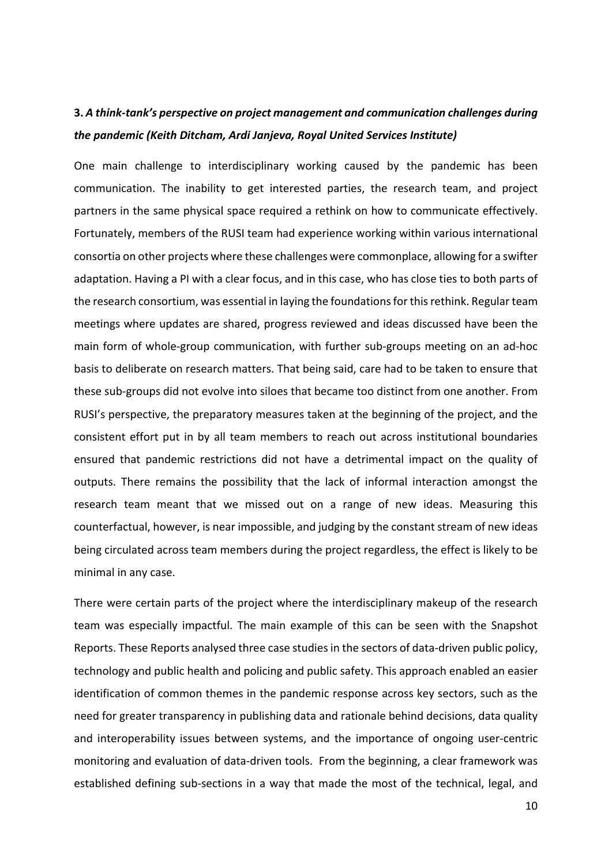### **3.** *A think-tank's perspective on project management and communication challenges during the pandemic (Keith Ditcham, Ardi Janjeva, Royal United Services Institute)*

One main challenge to interdisciplinary working caused by the pandemic has been communication. The inability to get interested parties, the research team, and project partners in the same physical space required a rethink on how to communicate effectively. Fortunately, members of the RUSI team had experience working within various international consortia on other projects where these challenges were commonplace, allowing for a swifter adaptation. Having a PI with a clear focus, and in this case, who has close ties to both parts of the research consortium, was essential in laying the foundations for this rethink. Regular team meetings where updates are shared, progress reviewed and ideas discussed have been the main form of whole-group communication, with further sub-groups meeting on an ad-hoc basis to deliberate on research matters. That being said, care had to be taken to ensure that these sub-groups did not evolve into siloes that became too distinct from one another. From RUSI's perspective, the preparatory measures taken at the beginning of the project, and the consistent effort put in by all team members to reach out across institutional boundaries ensured that pandemic restrictions did not have a detrimental impact on the quality of outputs. There remains the possibility that the lack of informal interaction amongst the research team meant that we missed out on a range of new ideas. Measuring this counterfactual, however, is near impossible, and judging by the constant stream of new ideas being circulated across team members during the project regardless, the effect is likely to be minimal in any case.

There were certain parts of the project where the interdisciplinary makeup of the research team was especially impactful. The main example of this can be seen with the Snapshot Reports. These Reports analysed three case studies in the sectors of data-driven public policy, technology and public health and policing and public safety. This approach enabled an easier identification of common themes in the pandemic response across key sectors, such as the need for greater transparency in publishing data and rationale behind decisions, data quality and interoperability issues between systems, and the importance of ongoing user-centric monitoring and evaluation of data-driven tools. From the beginning, a clear framework was established defining sub-sections in a way that made the most of the technical, legal, and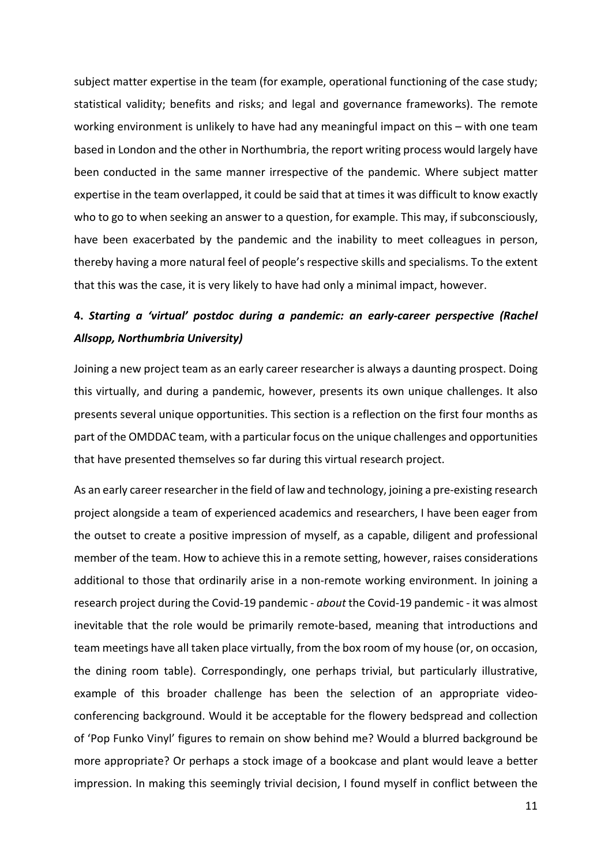subject matter expertise in the team (for example, operational functioning of the case study; statistical validity; benefits and risks; and legal and governance frameworks). The remote working environment is unlikely to have had any meaningful impact on this – with one team based in London and the other in Northumbria, the report writing process would largely have been conducted in the same manner irrespective of the pandemic. Where subject matter expertise in the team overlapped, it could be said that at times it was difficult to know exactly who to go to when seeking an answer to a question, for example. This may, if subconsciously, have been exacerbated by the pandemic and the inability to meet colleagues in person, thereby having a more natural feel of people's respective skills and specialisms. To the extent that this was the case, it is very likely to have had only a minimal impact, however.

# **4.** *Starting a 'virtual' postdoc during a pandemic: an early-career perspective (Rachel Allsopp, Northumbria University)*

Joining a new project team as an early career researcher is always a daunting prospect. Doing this virtually, and during a pandemic, however, presents its own unique challenges. It also presents several unique opportunities. This section is a reflection on the first four months as part of the OMDDAC team, with a particular focus on the unique challenges and opportunities that have presented themselves so far during this virtual research project.

As an early career researcher in the field of law and technology, joining a pre-existing research project alongside a team of experienced academics and researchers, I have been eager from the outset to create a positive impression of myself, as a capable, diligent and professional member of the team. How to achieve this in a remote setting, however, raises considerations additional to those that ordinarily arise in a non-remote working environment. In joining a research project during the Covid-19 pandemic - *about* the Covid-19 pandemic - it was almost inevitable that the role would be primarily remote-based, meaning that introductions and team meetings have all taken place virtually, from the box room of my house (or, on occasion, the dining room table). Correspondingly, one perhaps trivial, but particularly illustrative, example of this broader challenge has been the selection of an appropriate videoconferencing background. Would it be acceptable for the flowery bedspread and collection of 'Pop Funko Vinyl' figures to remain on show behind me? Would a blurred background be more appropriate? Or perhaps a stock image of a bookcase and plant would leave a better impression. In making this seemingly trivial decision, I found myself in conflict between the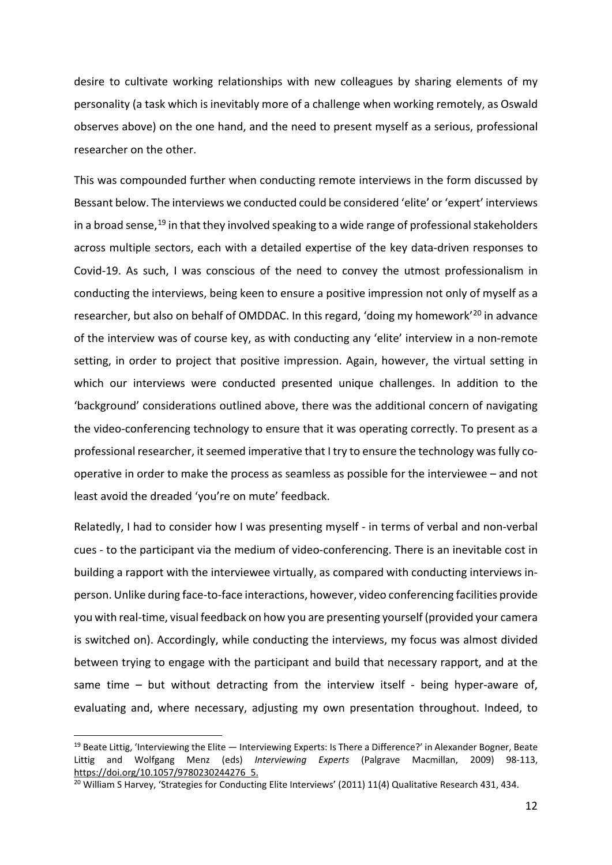desire to cultivate working relationships with new colleagues by sharing elements of my personality (a task which is inevitably more of a challenge when working remotely, as Oswald observes above) on the one hand, and the need to present myself as a serious, professional researcher on the other.

This was compounded further when conducting remote interviews in the form discussed by Bessant below. The interviews we conducted could be considered 'elite' or 'expert' interviews in a broad sense,<sup>[19](#page-9-0)</sup> in that they involved speaking to a wide range of professional stakeholders across multiple sectors, each with a detailed expertise of the key data-driven responses to Covid-19. As such, I was conscious of the need to convey the utmost professionalism in conducting the interviews, being keen to ensure a positive impression not only of myself as a researcher, but also on behalf of OMDDAC. In this regard, 'doing my homework'[20](#page-9-1) in advance of the interview was of course key, as with conducting any 'elite' interview in a non-remote setting, in order to project that positive impression. Again, however, the virtual setting in which our interviews were conducted presented unique challenges. In addition to the 'background' considerations outlined above, there was the additional concern of navigating the video-conferencing technology to ensure that it was operating correctly. To present as a professional researcher, it seemed imperative that I try to ensure the technology was fully cooperative in order to make the process as seamless as possible for the interviewee – and not least avoid the dreaded 'you're on mute' feedback.

Relatedly, I had to consider how I was presenting myself - in terms of verbal and non-verbal cues - to the participant via the medium of video-conferencing. There is an inevitable cost in building a rapport with the interviewee virtually, as compared with conducting interviews inperson. Unlike during face-to-face interactions, however, video conferencing facilities provide you with real-time, visual feedback on how you are presenting yourself (provided your camera is switched on). Accordingly, while conducting the interviews, my focus was almost divided between trying to engage with the participant and build that necessary rapport, and at the same time – but without detracting from the interview itself - being hyper-aware of, evaluating and, where necessary, adjusting my own presentation throughout. Indeed, to

<span id="page-9-0"></span> $19$  Beate Littig, 'Interviewing the Elite  $-$  Interviewing Experts: Is There a Difference?' in Alexander Bogner, Beate Littig and Wolfgang Menz (eds) *Interviewing Experts* (Palgrave Macmillan, 2009) 98-113, https://doi.org/10.1057/9780230244276\_5.

<span id="page-9-1"></span><sup>&</sup>lt;sup>20</sup> William S Harvey, 'Strategies for Conducting Elite Interviews' (2011) 11(4) Qualitative Research 431, 434.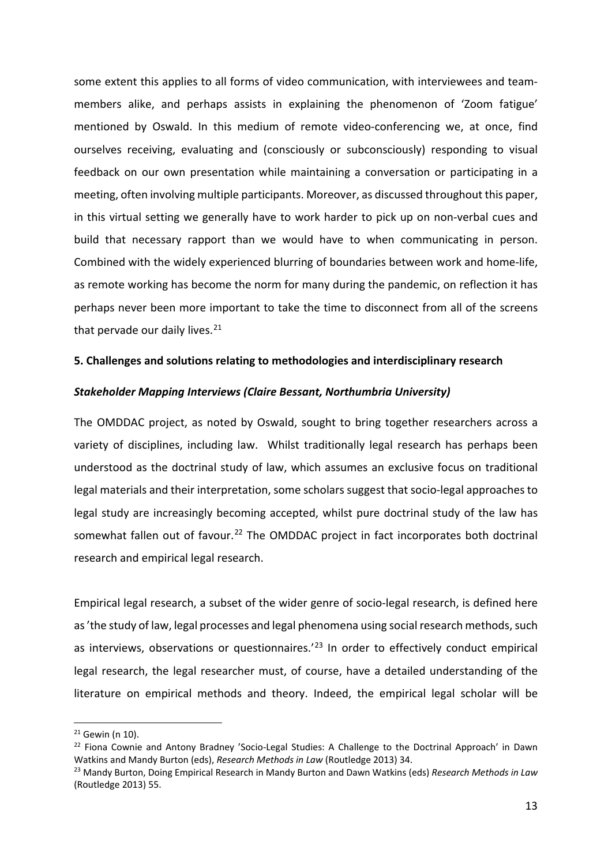some extent this applies to all forms of video communication, with interviewees and teammembers alike, and perhaps assists in explaining the phenomenon of 'Zoom fatigue' mentioned by Oswald. In this medium of remote video-conferencing we, at once, find ourselves receiving, evaluating and (consciously or subconsciously) responding to visual feedback on our own presentation while maintaining a conversation or participating in a meeting, often involving multiple participants. Moreover, as discussed throughout this paper, in this virtual setting we generally have to work harder to pick up on non-verbal cues and build that necessary rapport than we would have to when communicating in person. Combined with the widely experienced blurring of boundaries between work and home-life, as remote working has become the norm for many during the pandemic, on reflection it has perhaps never been more important to take the time to disconnect from all of the screens that pervade our daily lives.<sup>[21](#page-10-0)</sup>

#### **5. Challenges and solutions relating to methodologies and interdisciplinary research**

### *Stakeholder Mapping Interviews (Claire Bessant, Northumbria University)*

The OMDDAC project, as noted by Oswald, sought to bring together researchers across a variety of disciplines, including law. Whilst traditionally legal research has perhaps been understood as the doctrinal study of law, which assumes an exclusive focus on traditional legal materials and their interpretation, some scholars suggest that socio-legal approaches to legal study are increasingly becoming accepted, whilst pure doctrinal study of the law has somewhat fallen out of favour.<sup>[22](#page-10-1)</sup> The OMDDAC project in fact incorporates both doctrinal research and empirical legal research.

Empirical legal research, a subset of the wider genre of socio-legal research, is defined here as 'the study of law, legal processes and legal phenomena using social research methods, such as interviews, observations or questionnaires.<sup>'[23](#page-10-2)</sup> In order to effectively conduct empirical legal research, the legal researcher must, of course, have a detailed understanding of the literature on empirical methods and theory. Indeed, the empirical legal scholar will be

<span id="page-10-0"></span><sup>21</sup> Gewin (n 10).

<span id="page-10-1"></span><sup>&</sup>lt;sup>22</sup> Fiona Cownie and Antony Bradney 'Socio-Legal Studies: A Challenge to the Doctrinal Approach' in Dawn Watkins and Mandy Burton (eds), *Research Methods in Law* (Routledge 2013) 34.

<span id="page-10-2"></span><sup>23</sup> Mandy Burton, Doing Empirical Research in Mandy Burton and Dawn Watkins (eds) *Research Methods in Law*  (Routledge 2013) 55.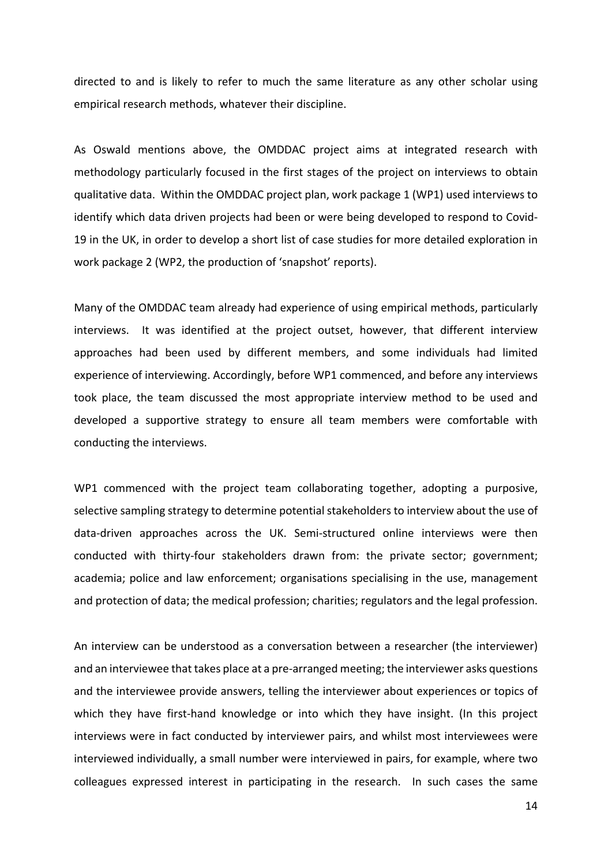directed to and is likely to refer to much the same literature as any other scholar using empirical research methods, whatever their discipline.

As Oswald mentions above, the OMDDAC project aims at integrated research with methodology particularly focused in the first stages of the project on interviews to obtain qualitative data. Within the OMDDAC project plan, work package 1 (WP1) used interviews to identify which data driven projects had been or were being developed to respond to Covid-19 in the UK, in order to develop a short list of case studies for more detailed exploration in work package 2 (WP2, the production of 'snapshot' reports).

Many of the OMDDAC team already had experience of using empirical methods, particularly interviews. It was identified at the project outset, however, that different interview approaches had been used by different members, and some individuals had limited experience of interviewing. Accordingly, before WP1 commenced, and before any interviews took place, the team discussed the most appropriate interview method to be used and developed a supportive strategy to ensure all team members were comfortable with conducting the interviews.

WP1 commenced with the project team collaborating together, adopting a purposive, selective sampling strategy to determine potential stakeholders to interview about the use of data-driven approaches across the UK. Semi-structured online interviews were then conducted with thirty-four stakeholders drawn from: the private sector; government; academia; police and law enforcement; organisations specialising in the use, management and protection of data; the medical profession; charities; regulators and the legal profession.

An interview can be understood as a conversation between a researcher (the interviewer) and an interviewee that takes place at a pre-arranged meeting; the interviewer asks questions and the interviewee provide answers, telling the interviewer about experiences or topics of which they have first-hand knowledge or into which they have insight. (In this project interviews were in fact conducted by interviewer pairs, and whilst most interviewees were interviewed individually, a small number were interviewed in pairs, for example, where two colleagues expressed interest in participating in the research. In such cases the same

14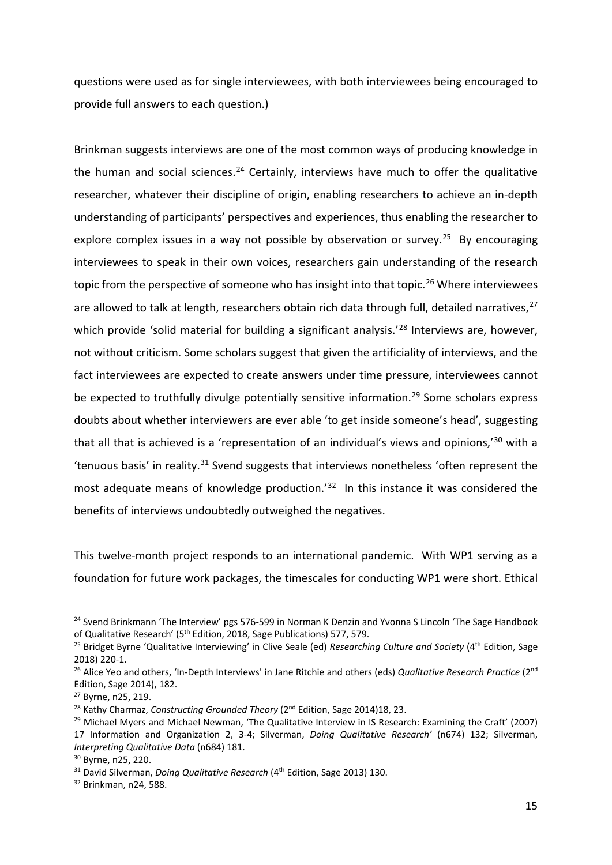questions were used as for single interviewees, with both interviewees being encouraged to provide full answers to each question.)

Brinkman suggests interviews are one of the most common ways of producing knowledge in the human and social sciences.<sup>[24](#page-12-0)</sup> Certainly, interviews have much to offer the qualitative researcher, whatever their discipline of origin, enabling researchers to achieve an in-depth understanding of participants' perspectives and experiences, thus enabling the researcher to explore complex issues in a way not possible by observation or survey.<sup>25</sup> By encouraging interviewees to speak in their own voices, researchers gain understanding of the research topic from the perspective of someone who has insight into that topic.<sup>[26](#page-12-2)</sup> Where interviewees are allowed to talk at length, researchers obtain rich data through full, detailed narratives,  $27$ which provide 'solid material for building a significant analysis.<sup>'[28](#page-12-4)</sup> Interviews are, however, not without criticism. Some scholars suggest that given the artificiality of interviews, and the fact interviewees are expected to create answers under time pressure, interviewees cannot be expected to truthfully divulge potentially sensitive information.<sup>[29](#page-12-5)</sup> Some scholars express doubts about whether interviewers are ever able 'to get inside someone's head', suggesting that all that is achieved is a 'representation of an individual's views and opinions,'[30](#page-12-6) with a 'tenuous basis' in reality. $31$  Svend suggests that interviews nonetheless 'often represent the most adequate means of knowledge production.<sup>'[32](#page-12-8)</sup> In this instance it was considered the benefits of interviews undoubtedly outweighed the negatives.

This twelve-month project responds to an international pandemic. With WP1 serving as a foundation for future work packages, the timescales for conducting WP1 were short. Ethical

<span id="page-12-0"></span><sup>&</sup>lt;sup>24</sup> Svend Brinkmann 'The Interview' pgs 576-599 in Norman K Denzin and Yvonna S Lincoln 'The Sage Handbook of Qualitative Research' (5th Edition, 2018, Sage Publications) 577, 579.

<span id="page-12-1"></span><sup>25</sup> Bridget Byrne 'Qualitative Interviewing' in Clive Seale (ed) *Researching Culture and Society* (4th Edition, Sage 2018) 220-1.

<span id="page-12-2"></span><sup>26</sup> Alice Yeo and others, 'In-Depth Interviews' in Jane Ritchie and others (eds) *Qualitative Research Practice* (2nd Edition, Sage 2014), 182.

<span id="page-12-3"></span><sup>27</sup> Byrne, n25, 219.

<span id="page-12-4"></span><sup>&</sup>lt;sup>28</sup> Kathy Charmaz, *Constructing Grounded Theory* (2<sup>nd</sup> Edition, Sage 2014)18, 23.

<span id="page-12-5"></span> $29$  Michael Myers and Michael Newman, 'The Qualitative Interview in IS Research: Examining the Craft' (2007) 17 Information and Organization 2, 3-4; Silverman, *Doing Qualitative Research'* (n674) 132; Silverman, *Interpreting Qualitative Data* (n684) 181.

<span id="page-12-6"></span><sup>30</sup> Byrne, n25, 220.

<span id="page-12-7"></span><sup>&</sup>lt;sup>31</sup> David Silverman, *Doing Qualitative Research* (4<sup>th</sup> Edition, Sage 2013) 130.

<span id="page-12-8"></span><sup>32</sup> Brinkman, n24, 588.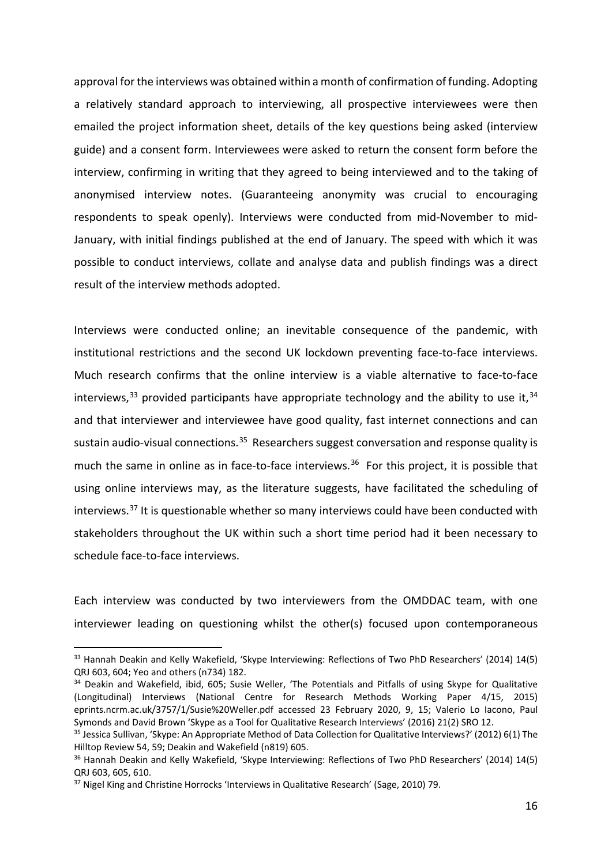approval for the interviews was obtained within a month of confirmation of funding. Adopting a relatively standard approach to interviewing, all prospective interviewees were then emailed the project information sheet, details of the key questions being asked (interview guide) and a consent form. Interviewees were asked to return the consent form before the interview, confirming in writing that they agreed to being interviewed and to the taking of anonymised interview notes. (Guaranteeing anonymity was crucial to encouraging respondents to speak openly). Interviews were conducted from mid-November to mid-January, with initial findings published at the end of January. The speed with which it was possible to conduct interviews, collate and analyse data and publish findings was a direct result of the interview methods adopted.

Interviews were conducted online; an inevitable consequence of the pandemic, with institutional restrictions and the second UK lockdown preventing face-to-face interviews. Much research confirms that the online interview is a viable alternative to face-to-face interviews,  $33$  provided participants have appropriate technology and the ability to use it,  $34$ and that interviewer and interviewee have good quality, fast internet connections and can sustain audio-visual connections.<sup>[35](#page-13-2)</sup> Researchers suggest conversation and response quality is much the same in online as in face-to-face interviews.<sup>[36](#page-13-3)</sup> For this project, it is possible that using online interviews may, as the literature suggests, have facilitated the scheduling of interviews.<sup>[37](#page-13-4)</sup> It is questionable whether so many interviews could have been conducted with stakeholders throughout the UK within such a short time period had it been necessary to schedule face-to-face interviews.

Each interview was conducted by two interviewers from the OMDDAC team, with one interviewer leading on questioning whilst the other(s) focused upon contemporaneous

<span id="page-13-0"></span><sup>&</sup>lt;sup>33</sup> Hannah Deakin and Kelly Wakefield, 'Skype Interviewing: Reflections of Two PhD Researchers' (2014) 14(5) QRJ 603, 604; Yeo and others (n734) 182.

<span id="page-13-1"></span><sup>&</sup>lt;sup>34</sup> Deakin and Wakefield, ibid, 605; Susie Weller, 'The Potentials and Pitfalls of using Skype for Qualitative (Longitudinal) Interviews (National Centre for Research Methods Working Paper 4/15, 2015) eprints.ncrm.ac.uk/3757/1/Susie%20Weller.pdf accessed 23 February 2020, 9, 15; Valerio Lo Iacono, Paul Symonds and David Brown 'Skype as a Tool for Qualitative Research Interviews' (2016) 21(2) SRO 12.

<span id="page-13-2"></span><sup>&</sup>lt;sup>35</sup> Jessica Sullivan, 'Skype: An Appropriate Method of Data Collection for Qualitative Interviews?' (2012) 6(1) The Hilltop Review 54, 59; Deakin and Wakefield (n819) 605.

<span id="page-13-3"></span><sup>36</sup> Hannah Deakin and Kelly Wakefield, 'Skype Interviewing: Reflections of Two PhD Researchers' (2014) 14(5) QRJ 603, 605, 610.

<span id="page-13-4"></span><sup>&</sup>lt;sup>37</sup> Nigel King and Christine Horrocks 'Interviews in Qualitative Research' (Sage, 2010) 79.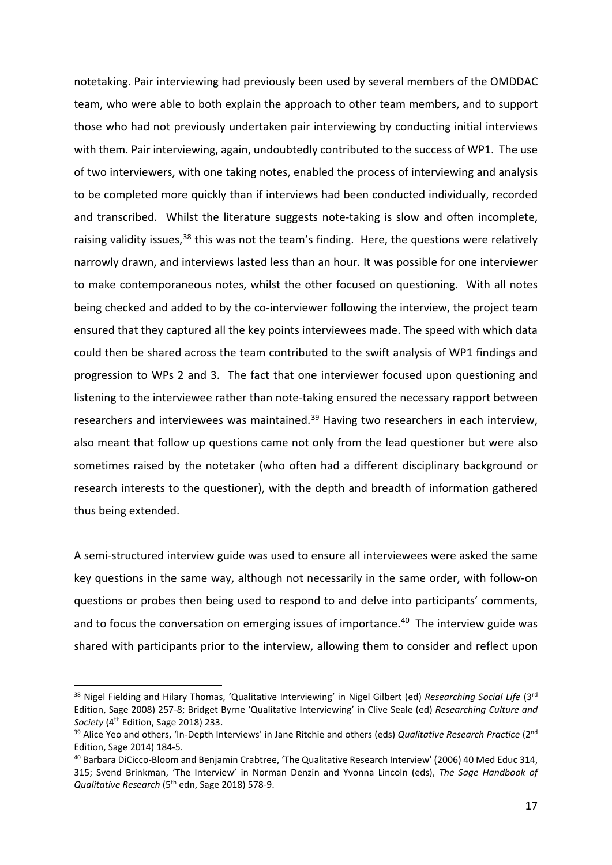notetaking. Pair interviewing had previously been used by several members of the OMDDAC team, who were able to both explain the approach to other team members, and to support those who had not previously undertaken pair interviewing by conducting initial interviews with them. Pair interviewing, again, undoubtedly contributed to the success of WP1. The use of two interviewers, with one taking notes, enabled the process of interviewing and analysis to be completed more quickly than if interviews had been conducted individually, recorded and transcribed. Whilst the literature suggests note-taking is slow and often incomplete, raising validity issues,  $38$  this was not the team's finding. Here, the questions were relatively narrowly drawn, and interviews lasted less than an hour. It was possible for one interviewer to make contemporaneous notes, whilst the other focused on questioning. With all notes being checked and added to by the co-interviewer following the interview, the project team ensured that they captured all the key points interviewees made. The speed with which data could then be shared across the team contributed to the swift analysis of WP1 findings and progression to WPs 2 and 3. The fact that one interviewer focused upon questioning and listening to the interviewee rather than note-taking ensured the necessary rapport between researchers and interviewees was maintained.<sup>[39](#page-14-1)</sup> Having two researchers in each interview, also meant that follow up questions came not only from the lead questioner but were also sometimes raised by the notetaker (who often had a different disciplinary background or research interests to the questioner), with the depth and breadth of information gathered thus being extended.

A semi-structured interview guide was used to ensure all interviewees were asked the same key questions in the same way, although not necessarily in the same order, with follow-on questions or probes then being used to respond to and delve into participants' comments, and to focus the conversation on emerging issues of importance.<sup>[40](#page-14-2)</sup> The interview guide was shared with participants prior to the interview, allowing them to consider and reflect upon

<span id="page-14-0"></span><sup>38</sup> Nigel Fielding and Hilary Thomas, 'Qualitative Interviewing' in Nigel Gilbert (ed) *Researching Social Life* (3rd Edition, Sage 2008) 257-8; Bridget Byrne 'Qualitative Interviewing' in Clive Seale (ed) *Researching Culture and*  Society (4<sup>th</sup> Edition, Sage 2018) 233.

<span id="page-14-1"></span><sup>39</sup> Alice Yeo and others, 'In-Depth Interviews' in Jane Ritchie and others (eds) *Qualitative Research Practice* (2nd Edition, Sage 2014) 184-5.

<span id="page-14-2"></span><sup>40</sup> Barbara DiCicco-Bloom and Benjamin Crabtree, 'The Qualitative Research Interview' (2006) 40 Med Educ 314, 315; Svend Brinkman, 'The Interview' in Norman Denzin and Yvonna Lincoln (eds), *The Sage Handbook of Qualitative Research* (5th edn, Sage 2018) 578-9.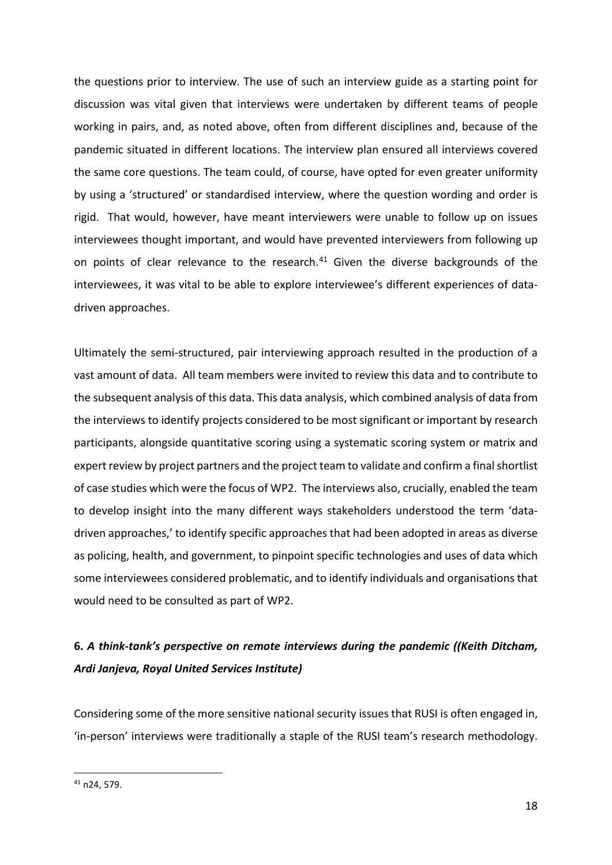the questions prior to interview. The use of such an interview guide as a starting point for discussion was vital given that interviews were undertaken by different teams of people working in pairs, and, as noted above, often from different disciplines and, because of the pandemic situated in different locations. The interview plan ensured all interviews covered the same core questions. The team could, of course, have opted for even greater uniformity by using a 'structured' or standardised interview, where the question wording and order is rigid. That would, however, have meant interviewers were unable to follow up on issues interviewees thought important, and would have prevented interviewers from following up on points of clear relevance to the research.<sup>[41](#page-15-0)</sup> Given the diverse backgrounds of the interviewees, it was vital to be able to explore interviewee's different experiences of datadriven approaches.

Ultimately the semi-structured, pair interviewing approach resulted in the production of a vast amount of data. All team members were invited to review this data and to contribute to the subsequent analysis of this data. This data analysis, which combined analysis of data from the interviews to identify projects considered to be most significant or important by research participants, alongside quantitative scoring using a systematic scoring system or matrix and expert review by project partners and the project team to validate and confirm a final shortlist of case studies which were the focus of WP2. The interviews also, crucially, enabled the team to develop insight into the many different ways stakeholders understood the term 'datadriven approaches,' to identify specific approaches that had been adopted in areas as diverse as policing, health, and government, to pinpoint specific technologies and uses of data which some interviewees considered problematic, and to identify individuals and organisations that would need to be consulted as part of WP2.

# **6.** *A think-tank's perspective on remote interviews during the pandemic ((Keith Ditcham, Ardi Janjeva, Royal United Services Institute)*

Considering some of the more sensitive national security issues that RUSI is often engaged in, 'in-person' interviews were traditionally a staple of the RUSI team's research methodology.

<span id="page-15-0"></span><sup>41</sup> n24, 579.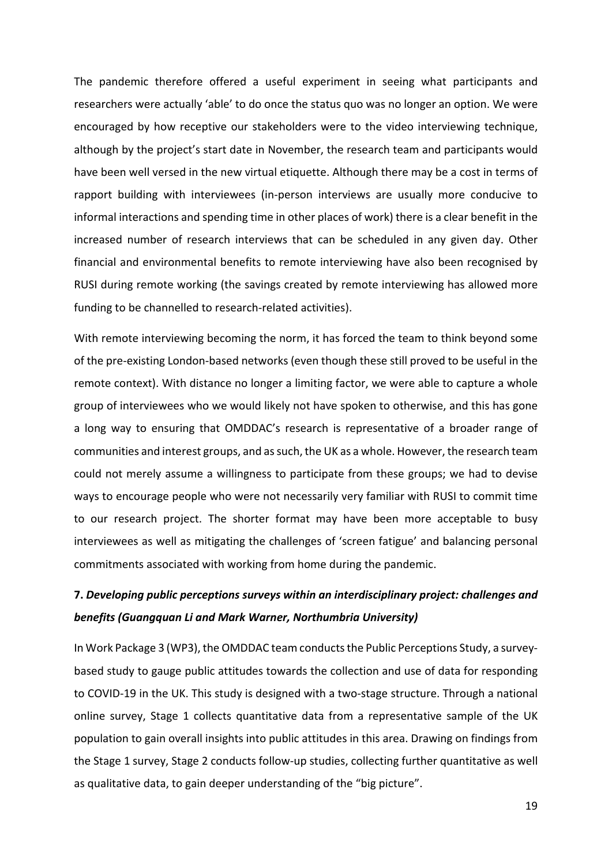The pandemic therefore offered a useful experiment in seeing what participants and researchers were actually 'able' to do once the status quo was no longer an option. We were encouraged by how receptive our stakeholders were to the video interviewing technique, although by the project's start date in November, the research team and participants would have been well versed in the new virtual etiquette. Although there may be a cost in terms of rapport building with interviewees (in-person interviews are usually more conducive to informal interactions and spending time in other places of work) there is a clear benefit in the increased number of research interviews that can be scheduled in any given day. Other financial and environmental benefits to remote interviewing have also been recognised by RUSI during remote working (the savings created by remote interviewing has allowed more funding to be channelled to research-related activities).

With remote interviewing becoming the norm, it has forced the team to think beyond some of the pre-existing London-based networks (even though these still proved to be useful in the remote context). With distance no longer a limiting factor, we were able to capture a whole group of interviewees who we would likely not have spoken to otherwise, and this has gone a long way to ensuring that OMDDAC's research is representative of a broader range of communities and interest groups, and as such, the UK as a whole. However, the research team could not merely assume a willingness to participate from these groups; we had to devise ways to encourage people who were not necessarily very familiar with RUSI to commit time to our research project. The shorter format may have been more acceptable to busy interviewees as well as mitigating the challenges of 'screen fatigue' and balancing personal commitments associated with working from home during the pandemic.

### **7.** *Developing public perceptions surveys within an interdisciplinary project: challenges and benefits (Guangquan Li and Mark Warner, Northumbria University)*

In Work Package 3 (WP3), the OMDDAC team conducts the Public Perceptions Study, a surveybased study to gauge public attitudes towards the collection and use of data for responding to COVID-19 in the UK. This study is designed with a two-stage structure. Through a national online survey, Stage 1 collects quantitative data from a representative sample of the UK population to gain overall insights into public attitudes in this area. Drawing on findings from the Stage 1 survey, Stage 2 conducts follow-up studies, collecting further quantitative as well as qualitative data, to gain deeper understanding of the "big picture".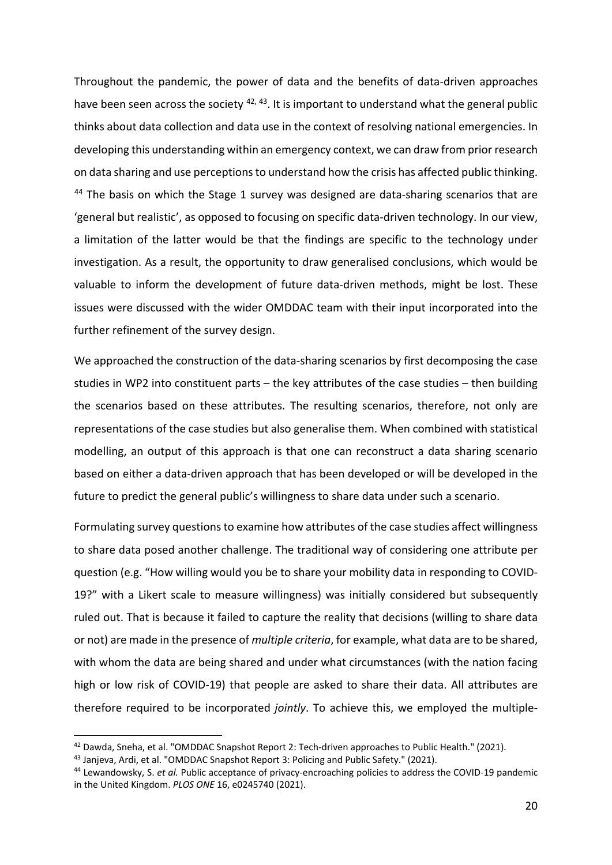Throughout the pandemic, the power of data and the benefits of data-driven approaches have been seen across the society  $42, 43$  $42, 43$  $42, 43$ . It is important to understand what the general public thinks about data collection and data use in the context of resolving national emergencies. In developing this understanding within an emergency context, we can draw from prior research on data sharing and use perceptions to understand how the crisis has affected public thinking. <sup>[44](#page-17-2)</sup> The basis on which the Stage 1 survey was designed are data-sharing scenarios that are 'general but realistic', as opposed to focusing on specific data-driven technology. In our view, a limitation of the latter would be that the findings are specific to the technology under investigation. As a result, the opportunity to draw generalised conclusions, which would be valuable to inform the development of future data-driven methods, might be lost. These issues were discussed with the wider OMDDAC team with their input incorporated into the further refinement of the survey design.

We approached the construction of the data-sharing scenarios by first decomposing the case studies in WP2 into constituent parts – the key attributes of the case studies – then building the scenarios based on these attributes. The resulting scenarios, therefore, not only are representations of the case studies but also generalise them. When combined with statistical modelling, an output of this approach is that one can reconstruct a data sharing scenario based on either a data-driven approach that has been developed or will be developed in the future to predict the general public's willingness to share data under such a scenario.

Formulating survey questions to examine how attributes of the case studies affect willingness to share data posed another challenge. The traditional way of considering one attribute per question (e.g. "How willing would you be to share your mobility data in responding to COVID-19?" with a Likert scale to measure willingness) was initially considered but subsequently ruled out. That is because it failed to capture the reality that decisions (willing to share data or not) are made in the presence of *multiple criteria*, for example, what data are to be shared, with whom the data are being shared and under what circumstances (with the nation facing high or low risk of COVID-19) that people are asked to share their data. All attributes are therefore required to be incorporated *jointly*. To achieve this, we employed the multiple-

<span id="page-17-0"></span><sup>42</sup> Dawda, Sneha, et al. "OMDDAC Snapshot Report 2: Tech-driven approaches to Public Health." (2021).

<span id="page-17-1"></span><sup>43</sup> Janjeva, Ardi, et al. "OMDDAC Snapshot Report 3: Policing and Public Safety." (2021).

<span id="page-17-2"></span><sup>44</sup> Lewandowsky, S. *et al.* Public acceptance of privacy-encroaching policies to address the COVID-19 pandemic in the United Kingdom. *PLOS ONE* 16, e0245740 (2021).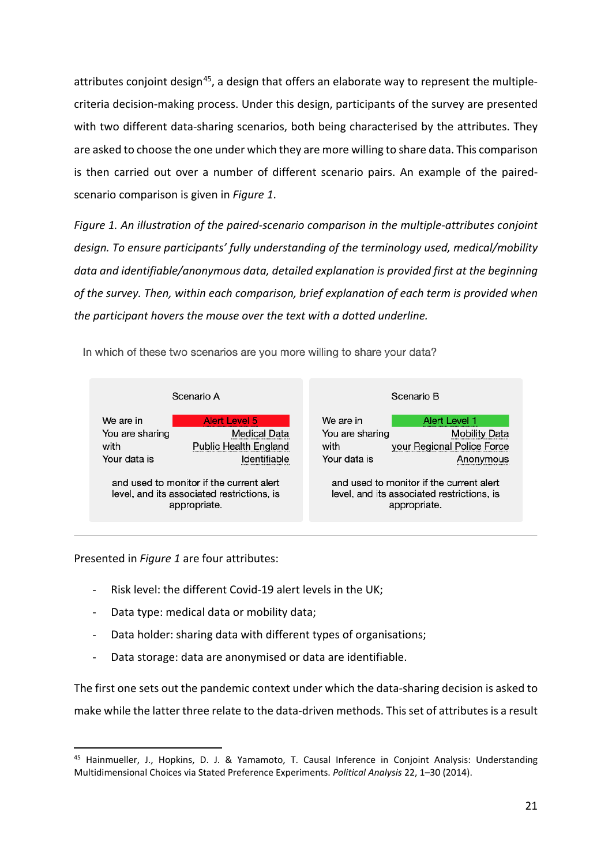attributes conjoint design<sup>45</sup>, a design that offers an elaborate way to represent the multiplecriteria decision-making process. Under this design, participants of the survey are presented with two different data-sharing scenarios, both being characterised by the attributes. They are asked to choose the one under which they are more willing to share data. This comparison is then carried out over a number of different scenario pairs. An example of the pairedscenario comparison is given in *Figure 1*.

*Figure 1. An illustration of the paired-scenario comparison in the multiple-attributes conjoint design. To ensure participants' fully understanding of the terminology used, medical/mobility data and identifiable/anonymous data, detailed explanation is provided first at the beginning of the survey. Then, within each comparison, brief explanation of each term is provided when the participant hovers the mouse over the text with a dotted underline.*

In which of these two scenarios are you more willing to share your data?



Presented in *Figure 1* are four attributes:

- Risk level: the different Covid-19 alert levels in the UK;
- Data type: medical data or mobility data;
- Data holder: sharing data with different types of organisations;
- Data storage: data are anonymised or data are identifiable.

The first one sets out the pandemic context under which the data-sharing decision is asked to make while the latter three relate to the data-driven methods. This set of attributes is a result

<span id="page-18-0"></span><sup>45</sup> Hainmueller, J., Hopkins, D. J. & Yamamoto, T. Causal Inference in Conjoint Analysis: Understanding Multidimensional Choices via Stated Preference Experiments. *Political Analysis* 22, 1–30 (2014).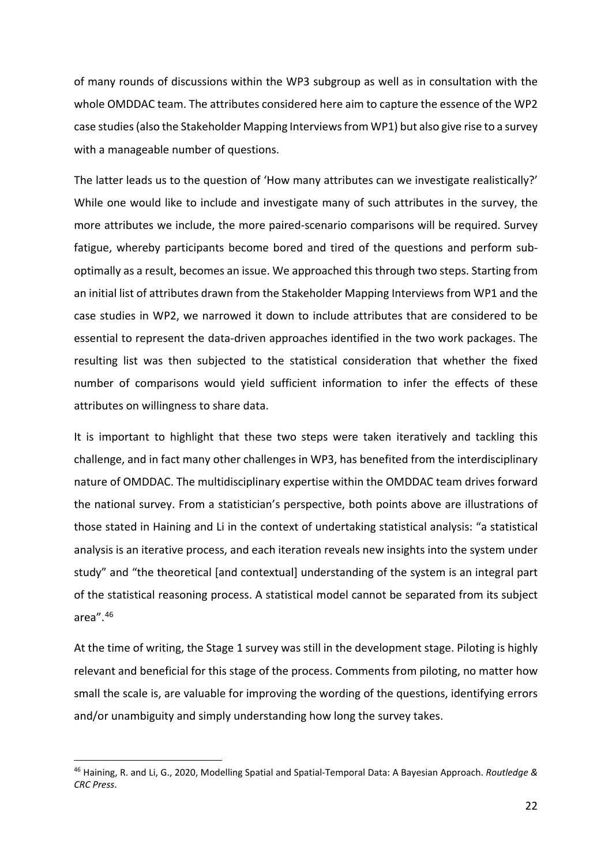of many rounds of discussions within the WP3 subgroup as well as in consultation with the whole OMDDAC team. The attributes considered here aim to capture the essence of the WP2 case studies (also the Stakeholder Mapping Interviews from WP1) but also give rise to a survey with a manageable number of questions.

The latter leads us to the question of 'How many attributes can we investigate realistically?' While one would like to include and investigate many of such attributes in the survey, the more attributes we include, the more paired-scenario comparisons will be required. Survey fatigue, whereby participants become bored and tired of the questions and perform suboptimally as a result, becomes an issue. We approached this through two steps. Starting from an initial list of attributes drawn from the Stakeholder Mapping Interviews from WP1 and the case studies in WP2, we narrowed it down to include attributes that are considered to be essential to represent the data-driven approaches identified in the two work packages. The resulting list was then subjected to the statistical consideration that whether the fixed number of comparisons would yield sufficient information to infer the effects of these attributes on willingness to share data.

It is important to highlight that these two steps were taken iteratively and tackling this challenge, and in fact many other challenges in WP3, has benefited from the interdisciplinary nature of OMDDAC. The multidisciplinary expertise within the OMDDAC team drives forward the national survey. From a statistician's perspective, both points above are illustrations of those stated in Haining and Li in the context of undertaking statistical analysis: "a statistical analysis is an iterative process, and each iteration reveals new insights into the system under study" and "the theoretical [and contextual] understanding of the system is an integral part of the statistical reasoning process. A statistical model cannot be separated from its subject area".[46](#page-19-0)

At the time of writing, the Stage 1 survey was still in the development stage. Piloting is highly relevant and beneficial for this stage of the process. Comments from piloting, no matter how small the scale is, are valuable for improving the wording of the questions, identifying errors and/or unambiguity and simply understanding how long the survey takes.

<span id="page-19-0"></span><sup>46</sup> Haining, R. and Li, G., 2020, Modelling Spatial and Spatial-Temporal Data: A Bayesian Approach. *Routledge & CRC Press*.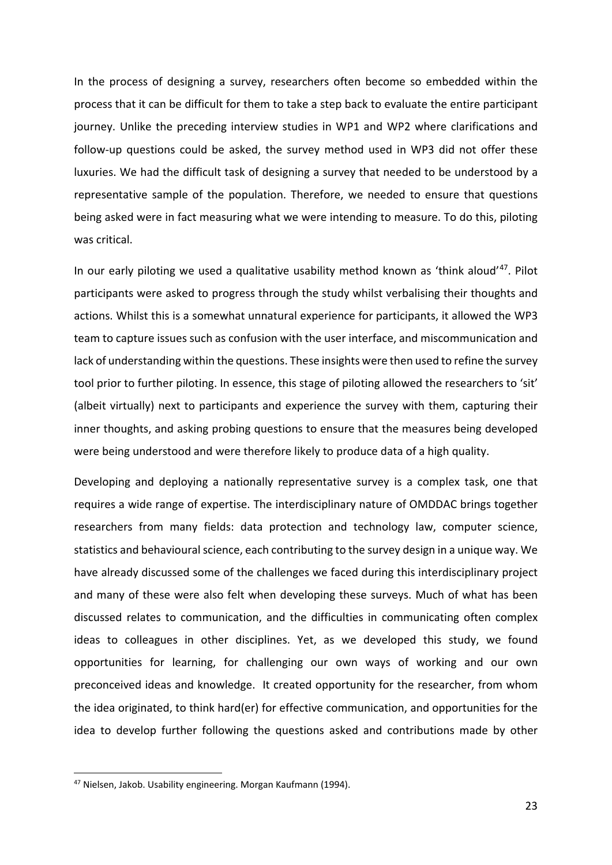In the process of designing a survey, researchers often become so embedded within the process that it can be difficult for them to take a step back to evaluate the entire participant journey. Unlike the preceding interview studies in WP1 and WP2 where clarifications and follow-up questions could be asked, the survey method used in WP3 did not offer these luxuries. We had the difficult task of designing a survey that needed to be understood by a representative sample of the population. Therefore, we needed to ensure that questions being asked were in fact measuring what we were intending to measure. To do this, piloting was critical.

In our early piloting we used a qualitative usability method known as 'think aloud' $47$ . Pilot participants were asked to progress through the study whilst verbalising their thoughts and actions. Whilst this is a somewhat unnatural experience for participants, it allowed the WP3 team to capture issues such as confusion with the user interface, and miscommunication and lack of understanding within the questions. These insights were then used to refine the survey tool prior to further piloting. In essence, this stage of piloting allowed the researchers to 'sit' (albeit virtually) next to participants and experience the survey with them, capturing their inner thoughts, and asking probing questions to ensure that the measures being developed were being understood and were therefore likely to produce data of a high quality.

Developing and deploying a nationally representative survey is a complex task, one that requires a wide range of expertise. The interdisciplinary nature of OMDDAC brings together researchers from many fields: data protection and technology law, computer science, statistics and behavioural science, each contributing to the survey design in a unique way. We have already discussed some of the challenges we faced during this interdisciplinary project and many of these were also felt when developing these surveys. Much of what has been discussed relates to communication, and the difficulties in communicating often complex ideas to colleagues in other disciplines. Yet, as we developed this study, we found opportunities for learning, for challenging our own ways of working and our own preconceived ideas and knowledge. It created opportunity for the researcher, from whom the idea originated, to think hard(er) for effective communication, and opportunities for the idea to develop further following the questions asked and contributions made by other

<span id="page-20-0"></span><sup>47</sup> Nielsen, Jakob. Usability engineering. Morgan Kaufmann (1994).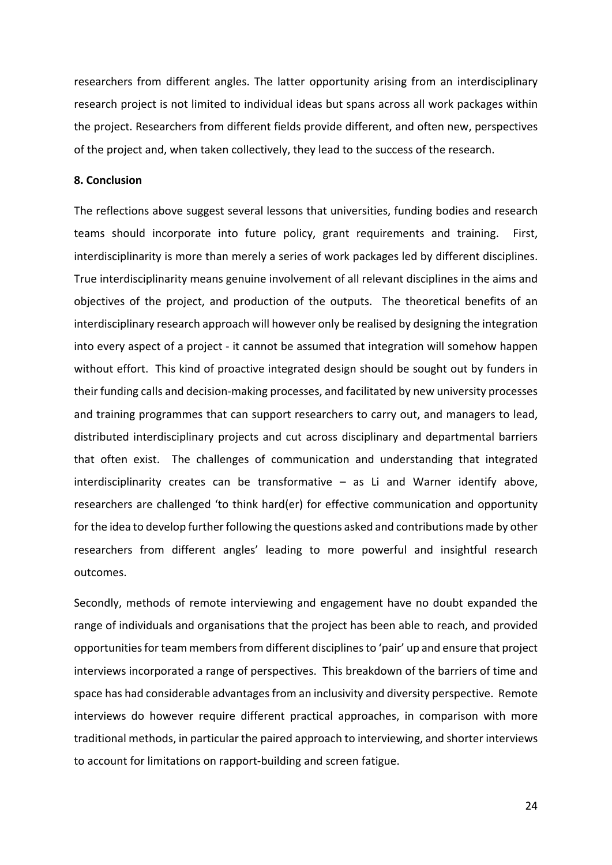researchers from different angles. The latter opportunity arising from an interdisciplinary research project is not limited to individual ideas but spans across all work packages within the project. Researchers from different fields provide different, and often new, perspectives of the project and, when taken collectively, they lead to the success of the research.

### **8. Conclusion**

The reflections above suggest several lessons that universities, funding bodies and research teams should incorporate into future policy, grant requirements and training. First, interdisciplinarity is more than merely a series of work packages led by different disciplines. True interdisciplinarity means genuine involvement of all relevant disciplines in the aims and objectives of the project, and production of the outputs. The theoretical benefits of an interdisciplinary research approach will however only be realised by designing the integration into every aspect of a project - it cannot be assumed that integration will somehow happen without effort. This kind of proactive integrated design should be sought out by funders in their funding calls and decision-making processes, and facilitated by new university processes and training programmes that can support researchers to carry out, and managers to lead, distributed interdisciplinary projects and cut across disciplinary and departmental barriers that often exist. The challenges of communication and understanding that integrated interdisciplinarity creates can be transformative – as Li and Warner identify above, researchers are challenged 'to think hard(er) for effective communication and opportunity for the idea to develop further following the questions asked and contributions made by other researchers from different angles' leading to more powerful and insightful research outcomes.

Secondly, methods of remote interviewing and engagement have no doubt expanded the range of individuals and organisations that the project has been able to reach, and provided opportunities for team members from different disciplines to 'pair' up and ensure that project interviews incorporated a range of perspectives. This breakdown of the barriers of time and space has had considerable advantages from an inclusivity and diversity perspective. Remote interviews do however require different practical approaches, in comparison with more traditional methods, in particular the paired approach to interviewing, and shorter interviews to account for limitations on rapport-building and screen fatigue.

24